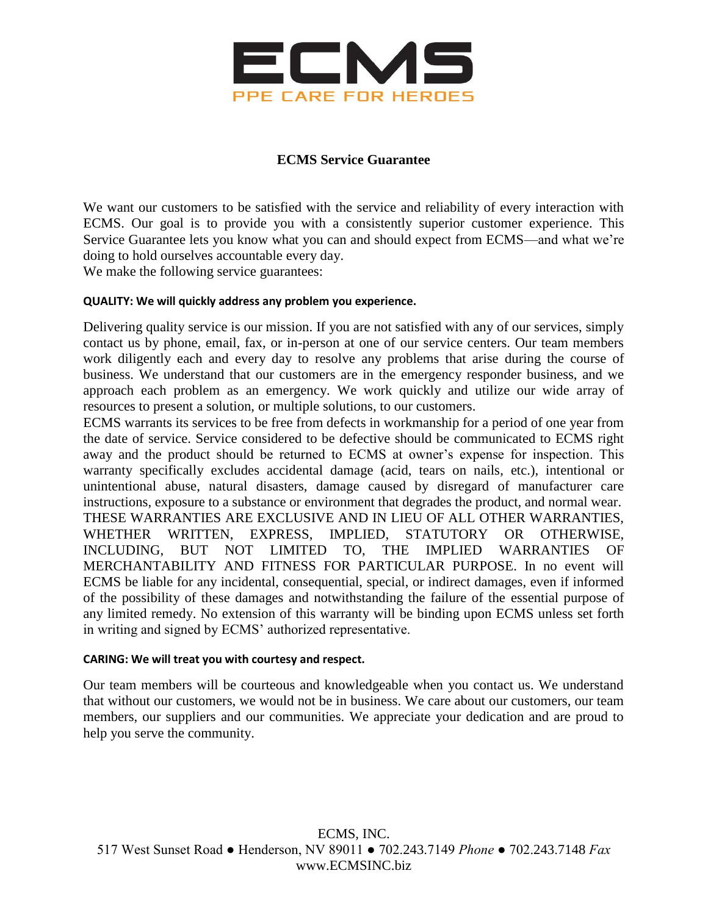

# **ECMS Service Guarantee**

We want our customers to be satisfied with the service and reliability of every interaction with ECMS. Our goal is to provide you with a consistently superior customer experience. This Service Guarantee lets you know what you can and should expect from ECMS—and what we're doing to hold ourselves accountable every day.

We make the following service guarantees:

# **QUALITY: We will quickly address any problem you experience.**

Delivering quality service is our mission. If you are not satisfied with any of our services, simply contact us by phone, email, fax, or in-person at one of our service centers. Our team members work diligently each and every day to resolve any problems that arise during the course of business. We understand that our customers are in the emergency responder business, and we approach each problem as an emergency. We work quickly and utilize our wide array of resources to present a solution, or multiple solutions, to our customers.

ECMS warrants its services to be free from defects in workmanship for a period of one year from the date of service. Service considered to be defective should be communicated to ECMS right away and the product should be returned to ECMS at owner's expense for inspection. This warranty specifically excludes accidental damage (acid, tears on nails, etc.), intentional or unintentional abuse, natural disasters, damage caused by disregard of manufacturer care instructions, exposure to a substance or environment that degrades the product, and normal wear. THESE WARRANTIES ARE EXCLUSIVE AND IN LIEU OF ALL OTHER WARRANTIES, WHETHER WRITTEN, EXPRESS, IMPLIED, STATUTORY OR OTHERWISE, INCLUDING, BUT NOT LIMITED TO, THE IMPLIED WARRANTIES OF MERCHANTABILITY AND FITNESS FOR PARTICULAR PURPOSE. In no event will ECMS be liable for any incidental, consequential, special, or indirect damages, even if informed of the possibility of these damages and notwithstanding the failure of the essential purpose of any limited remedy. No extension of this warranty will be binding upon ECMS unless set forth in writing and signed by ECMS' authorized representative.

### **CARING: We will treat you with courtesy and respect.**

Our team members will be courteous and knowledgeable when you contact us. We understand that without our customers, we would not be in business. We care about our customers, our team members, our suppliers and our communities. We appreciate your dedication and are proud to help you serve the community.